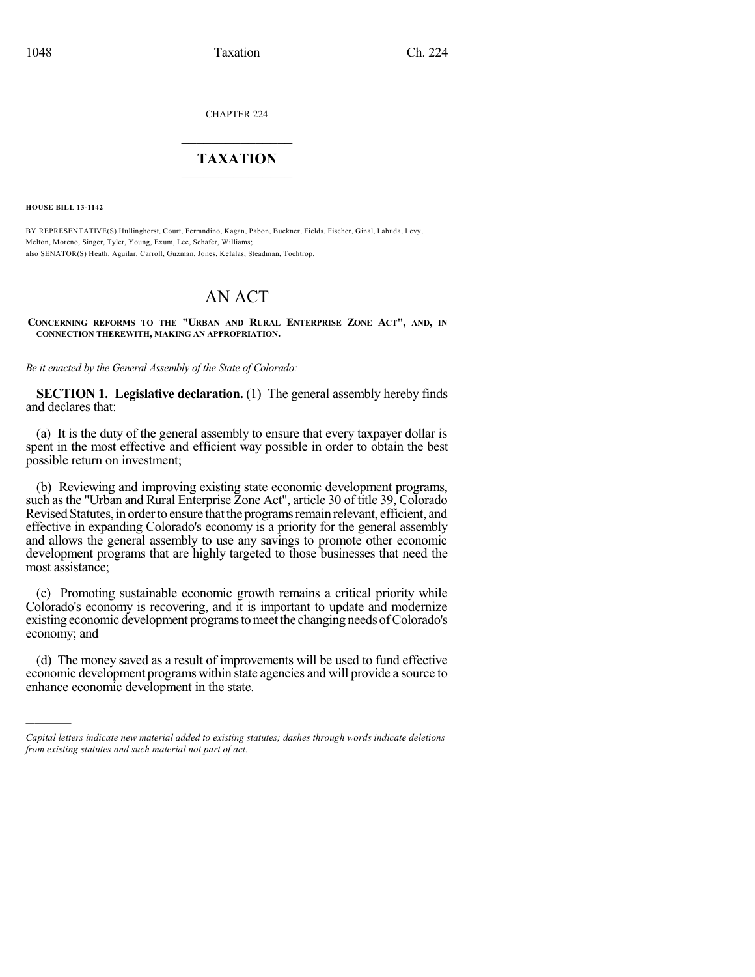CHAPTER 224

## $\mathcal{L}_\text{max}$  . The set of the set of the set of the set of the set of the set of the set of the set of the set of the set of the set of the set of the set of the set of the set of the set of the set of the set of the set **TAXATION**  $\_$

**HOUSE BILL 13-1142**

)))))

BY REPRESENTATIVE(S) Hullinghorst, Court, Ferrandino, Kagan, Pabon, Buckner, Fields, Fischer, Ginal, Labuda, Levy, Melton, Moreno, Singer, Tyler, Young, Exum, Lee, Schafer, Williams; also SENATOR(S) Heath, Aguilar, Carroll, Guzman, Jones, Kefalas, Steadman, Tochtrop.

# AN ACT

**CONCERNING REFORMS TO THE "URBAN AND RURAL ENTERPRISE ZONE ACT", AND, IN CONNECTION THEREWITH, MAKING AN APPROPRIATION.**

*Be it enacted by the General Assembly of the State of Colorado:*

**SECTION 1. Legislative declaration.** (1) The general assembly hereby finds and declares that:

(a) It is the duty of the general assembly to ensure that every taxpayer dollar is spent in the most effective and efficient way possible in order to obtain the best possible return on investment;

(b) Reviewing and improving existing state economic development programs, such asthe "Urban and Rural Enterprise Zone Act", article 30 of title 39, Colorado Revised Statutes, in order to ensure that the programs remain relevant, efficient, and effective in expanding Colorado's economy is a priority for the general assembly and allows the general assembly to use any savings to promote other economic development programs that are highly targeted to those businesses that need the most assistance;

(c) Promoting sustainable economic growth remains a critical priority while Colorado's economy is recovering, and it is important to update and modernize existing economic development programs to meet the changing needs of Colorado's economy; and

(d) The money saved as a result of improvements will be used to fund effective economic development programs within state agencies and will provide a source to enhance economic development in the state.

*Capital letters indicate new material added to existing statutes; dashes through words indicate deletions from existing statutes and such material not part of act.*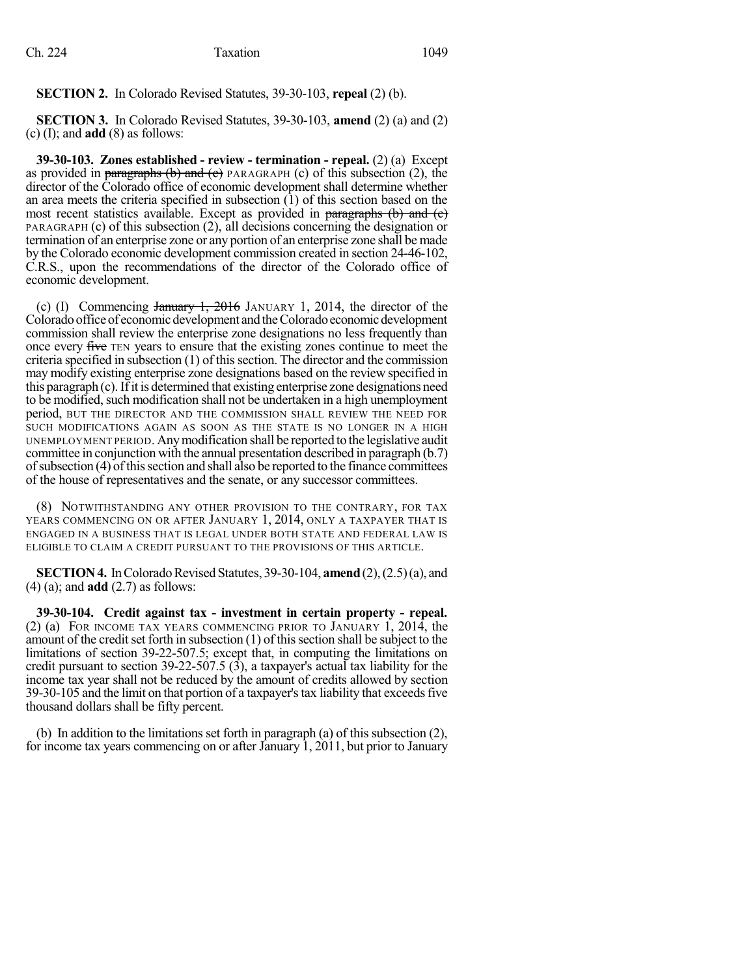**SECTION 2.** In Colorado Revised Statutes, 39-30-103, **repeal** (2) (b).

**SECTION 3.** In Colorado Revised Statutes, 39-30-103, **amend** (2) (a) and (2) (c) (I); and **add** (8) as follows:

**39-30-103. Zones established - review - termination - repeal.** (2) (a) Except as provided in paragraphs (b) and (e) PARAGRAPH (c) of this subsection (2), the director of the Colorado office of economic development shall determine whether an area meets the criteria specified in subsection  $(1)$  of this section based on the most recent statistics available. Except as provided in paragraphs  $(b)$  and  $(c)$ PARAGRAPH (c) of this subsection (2), all decisions concerning the designation or termination of an enterprise zone or any portion of an enterprise zone shall be made by the Colorado economic development commission created in section 24-46-102, C.R.S., upon the recommendations of the director of the Colorado office of economic development.

(c) (I) Commencing  $\frac{1}{2016}$  JANUARY 1, 2014, the director of the Colorado office of economic development and the Colorado economic development commission shall review the enterprise zone designations no less frequently than once every five TEN years to ensure that the existing zones continue to meet the criteria specified in subsection  $(1)$  of this section. The director and the commission may modify existing enterprise zone designations based on the review specified in this paragraph (c).Ifit is determined that existing enterprise zone designations need to be modified, such modification shall not be undertaken in a high unemployment period, BUT THE DIRECTOR AND THE COMMISSION SHALL REVIEW THE NEED FOR SUCH MODIFICATIONS AGAIN AS SOON AS THE STATE IS NO LONGER IN A HIGH UNEMPLOYMENT PERIOD. Anymodification shall be reported to the legislative audit committee in conjunction with the annual presentation described in paragraph (b.7) of subsection (4) of this section and shall also be reported to the finance committees of the house of representatives and the senate, or any successor committees.

(8) NOTWITHSTANDING ANY OTHER PROVISION TO THE CONTRARY, FOR TAX YEARS COMMENCING ON OR AFTER JANUARY 1, 2014, ONLY A TAXPAYER THAT IS ENGAGED IN A BUSINESS THAT IS LEGAL UNDER BOTH STATE AND FEDERAL LAW IS ELIGIBLE TO CLAIM A CREDIT PURSUANT TO THE PROVISIONS OF THIS ARTICLE.

**SECTION 4.** In Colorado Revised Statutes, 39-30-104, **amend** (2), (2.5)(a), and (4) (a); and **add** (2.7) as follows:

**39-30-104. Credit against tax - investment in certain property - repeal.** (2) (a) FOR INCOME TAX YEARS COMMENCING PRIOR TO JANUARY 1, 2014, the amount of the credit set forth in subsection  $(1)$  of this section shall be subject to the limitations of section 39-22-507.5; except that, in computing the limitations on credit pursuant to section 39-22-507.5  $(\overline{3})$ , a taxpayer's actual tax liability for the income tax year shall not be reduced by the amount of credits allowed by section 39-30-105 and the limit on that portion of a taxpayer'stax liability that exceedsfive thousand dollars shall be fifty percent.

(b) In addition to the limitations set forth in paragraph (a) of this subsection (2), for income tax years commencing on or after January 1, 2011, but prior to January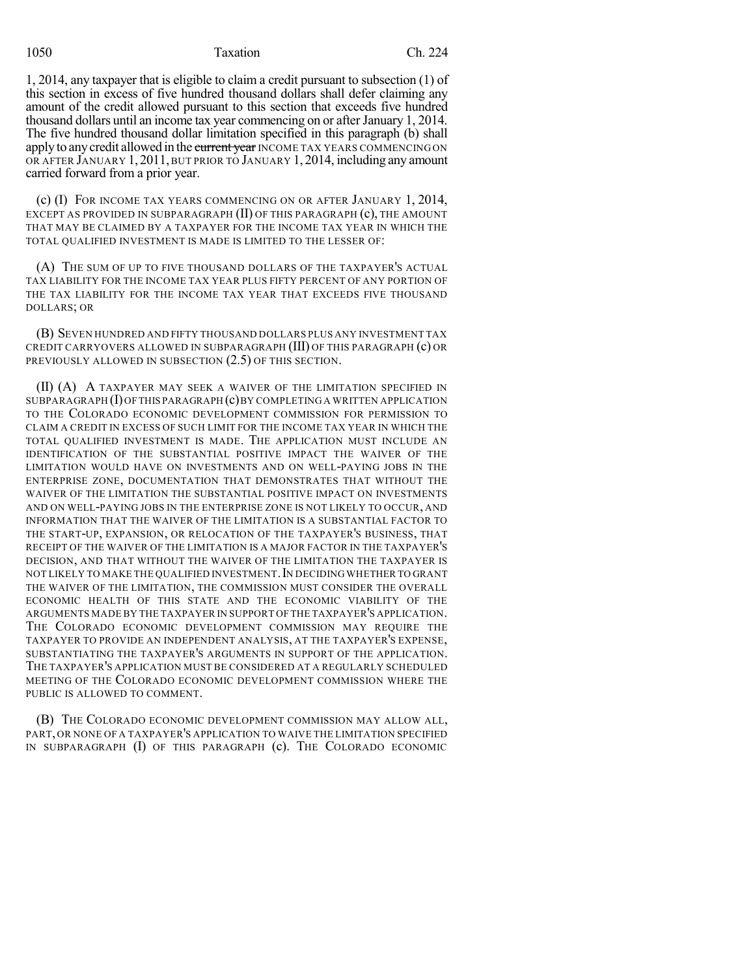#### 1050 Taxation Ch. 224

1, 2014, any taxpayer that is eligible to claim a credit pursuant to subsection (1) of this section in excess of five hundred thousand dollars shall defer claiming any amount of the credit allowed pursuant to this section that exceeds five hundred thousand dollars until an income tax year commencing on or after January 1, 2014. The five hundred thousand dollar limitation specified in this paragraph (b) shall apply to any credit allowed in the current year INCOME TAX YEARS COMMENCING ON OR AFTER JANUARY 1, 2011, BUT PRIOR TO JANUARY 1, 2014, including any amount carried forward from a prior year.

(c) (I) FOR INCOME TAX YEARS COMMENCING ON OR AFTER JANUARY 1, 2014, EXCEPT AS PROVIDED IN SUBPARAGRAPH (II) OF THIS PARAGRAPH (c), THE AMOUNT THAT MAY BE CLAIMED BY A TAXPAYER FOR THE INCOME TAX YEAR IN WHICH THE TOTAL QUALIFIED INVESTMENT IS MADE IS LIMITED TO THE LESSER OF:

(A) THE SUM OF UP TO FIVE THOUSAND DOLLARS OF THE TAXPAYER'S ACTUAL TAX LIABILITY FOR THE INCOME TAX YEAR PLUS FIFTY PERCENT OF ANY PORTION OF THE TAX LIABILITY FOR THE INCOME TAX YEAR THAT EXCEEDS FIVE THOUSAND DOLLARS; OR

(B) SEVEN HUNDRED AND FIFTY THOUSAND DOLLARS PLUS ANY INVESTMENT TAX CREDIT CARRYOVERS ALLOWED IN SUBPARAGRAPH (III) OF THIS PARAGRAPH (c) OR PREVIOUSLY ALLOWED IN SUBSECTION  $(2.5)$  OF THIS SECTION.

(II) (A) A TAXPAYER MAY SEEK A WAIVER OF THE LIMITATION SPECIFIED IN SUBPARAGRAPH  $(I)$  OF THIS PARAGRAPH  $(c)$  BY COMPLETING A WRITTEN APPLICATION TO THE COLORADO ECONOMIC DEVELOPMENT COMMISSION FOR PERMISSION TO CLAIM A CREDIT IN EXCESS OF SUCH LIMIT FOR THE INCOME TAX YEAR IN WHICH THE TOTAL QUALIFIED INVESTMENT IS MADE. THE APPLICATION MUST INCLUDE AN IDENTIFICATION OF THE SUBSTANTIAL POSITIVE IMPACT THE WAIVER OF THE LIMITATION WOULD HAVE ON INVESTMENTS AND ON WELL-PAYING JOBS IN THE ENTERPRISE ZONE, DOCUMENTATION THAT DEMONSTRATES THAT WITHOUT THE WAIVER OF THE LIMITATION THE SUBSTANTIAL POSITIVE IMPACT ON INVESTMENTS AND ON WELL-PAYING JOBS IN THE ENTERPRISE ZONE IS NOT LIKELY TO OCCUR, AND INFORMATION THAT THE WAIVER OF THE LIMITATION IS A SUBSTANTIAL FACTOR TO THE START-UP, EXPANSION, OR RELOCATION OF THE TAXPAYER'S BUSINESS, THAT RECEIPT OF THE WAIVER OF THE LIMITATION IS A MAJOR FACTOR IN THE TAXPAYER'S DECISION, AND THAT WITHOUT THE WAIVER OF THE LIMITATION THE TAXPAYER IS NOT LIKELY TO MAKE THE QUALIFIED INVESTMENT. IN DECIDING WHETHER TO GRANT THE WAIVER OF THE LIMITATION, THE COMMISSION MUST CONSIDER THE OVERALL ECONOMIC HEALTH OF THIS STATE AND THE ECONOMIC VIABILITY OF THE ARGUMENTS MADE BY THE TAXPAYER IN SUPPORT OF THE TAXPAYER'S APPLICATION. THE COLORADO ECONOMIC DEVELOPMENT COMMISSION MAY REQUIRE THE TAXPAYER TO PROVIDE AN INDEPENDENT ANALYSIS, AT THE TAXPAYER'S EXPENSE, SUBSTANTIATING THE TAXPAYER'S ARGUMENTS IN SUPPORT OF THE APPLICATION. THE TAXPAYER'S APPLICATION MUST BE CONSIDERED AT A REGULARLY SCHEDULED MEETING OF THE COLORADO ECONOMIC DEVELOPMENT COMMISSION WHERE THE PUBLIC IS ALLOWED TO COMMENT.

(B) THE COLORADO ECONOMIC DEVELOPMENT COMMISSION MAY ALLOW ALL, PART, OR NONE OF A TAXPAYER'S APPLICATION TO WAIVE THE LIMITATION SPECIFIED IN SUBPARAGRAPH (I) OF THIS PARAGRAPH (c). THE COLORADO ECONOMIC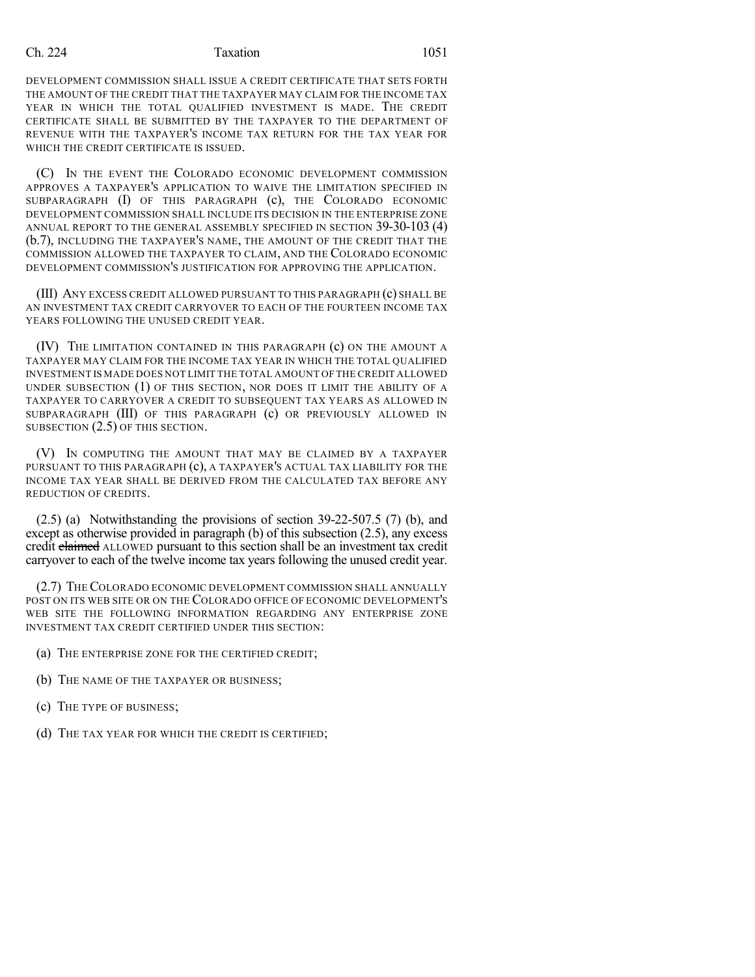#### Ch. 224 **Taxation** 1051

DEVELOPMENT COMMISSION SHALL ISSUE A CREDIT CERTIFICATE THAT SETS FORTH THE AMOUNT OF THE CREDIT THAT THE TAXPAYER MAY CLAIM FOR THE INCOME TAX YEAR IN WHICH THE TOTAL QUALIFIED INVESTMENT IS MADE. THE CREDIT CERTIFICATE SHALL BE SUBMITTED BY THE TAXPAYER TO THE DEPARTMENT OF REVENUE WITH THE TAXPAYER'S INCOME TAX RETURN FOR THE TAX YEAR FOR WHICH THE CREDIT CERTIFICATE IS ISSUED.

(C) IN THE EVENT THE COLORADO ECONOMIC DEVELOPMENT COMMISSION APPROVES A TAXPAYER'S APPLICATION TO WAIVE THE LIMITATION SPECIFIED IN SUBPARAGRAPH (I) OF THIS PARAGRAPH (c), THE COLORADO ECONOMIC DEVELOPMENT COMMISSION SHALL INCLUDE ITS DECISION IN THE ENTERPRISE ZONE ANNUAL REPORT TO THE GENERAL ASSEMBLY SPECIFIED IN SECTION 39-30-103 (4) (b.7), INCLUDING THE TAXPAYER'S NAME, THE AMOUNT OF THE CREDIT THAT THE COMMISSION ALLOWED THE TAXPAYER TO CLAIM, AND THE COLORADO ECONOMIC DEVELOPMENT COMMISSION'S JUSTIFICATION FOR APPROVING THE APPLICATION.

(III) ANY EXCESS CREDIT ALLOWED PURSUANT TO THIS PARAGRAPH (c) SHALL BE AN INVESTMENT TAX CREDIT CARRYOVER TO EACH OF THE FOURTEEN INCOME TAX YEARS FOLLOWING THE UNUSED CREDIT YEAR.

(IV) THE LIMITATION CONTAINED IN THIS PARAGRAPH (c) ON THE AMOUNT A TAXPAYER MAY CLAIM FOR THE INCOME TAX YEAR IN WHICH THE TOTAL QUALIFIED INVESTMENT IS MADE DOES NOT LIMIT THE TOTAL AMOUNT OF THE CREDIT ALLOWED UNDER SUBSECTION (1) OF THIS SECTION, NOR DOES IT LIMIT THE ABILITY OF A TAXPAYER TO CARRYOVER A CREDIT TO SUBSEQUENT TAX YEARS AS ALLOWED IN SUBPARAGRAPH (III) OF THIS PARAGRAPH (c) OR PREVIOUSLY ALLOWED IN SUBSECTION (2.5) OF THIS SECTION.

(V) IN COMPUTING THE AMOUNT THAT MAY BE CLAIMED BY A TAXPAYER PURSUANT TO THIS PARAGRAPH (c), A TAXPAYER'S ACTUAL TAX LIABILITY FOR THE INCOME TAX YEAR SHALL BE DERIVED FROM THE CALCULATED TAX BEFORE ANY REDUCTION OF CREDITS.

 $(2.5)$  (a) Notwithstanding the provisions of section 39-22-507.5 (7) (b), and except as otherwise provided in paragraph (b) of this subsection (2.5), any excess credit claimed ALLOWED pursuant to this section shall be an investment tax credit carryover to each of the twelve income tax years following the unused credit year.

(2.7) THE COLORADO ECONOMIC DEVELOPMENT COMMISSION SHALL ANNUALLY POST ON ITS WEB SITE OR ON THE COLORADO OFFICE OF ECONOMIC DEVELOPMENT'S WEB SITE THE FOLLOWING INFORMATION REGARDING ANY ENTERPRISE ZONE INVESTMENT TAX CREDIT CERTIFIED UNDER THIS SECTION:

- (a) THE ENTERPRISE ZONE FOR THE CERTIFIED CREDIT;
- (b) THE NAME OF THE TAXPAYER OR BUSINESS;
- (c) THE TYPE OF BUSINESS;
- (d) THE TAX YEAR FOR WHICH THE CREDIT IS CERTIFIED;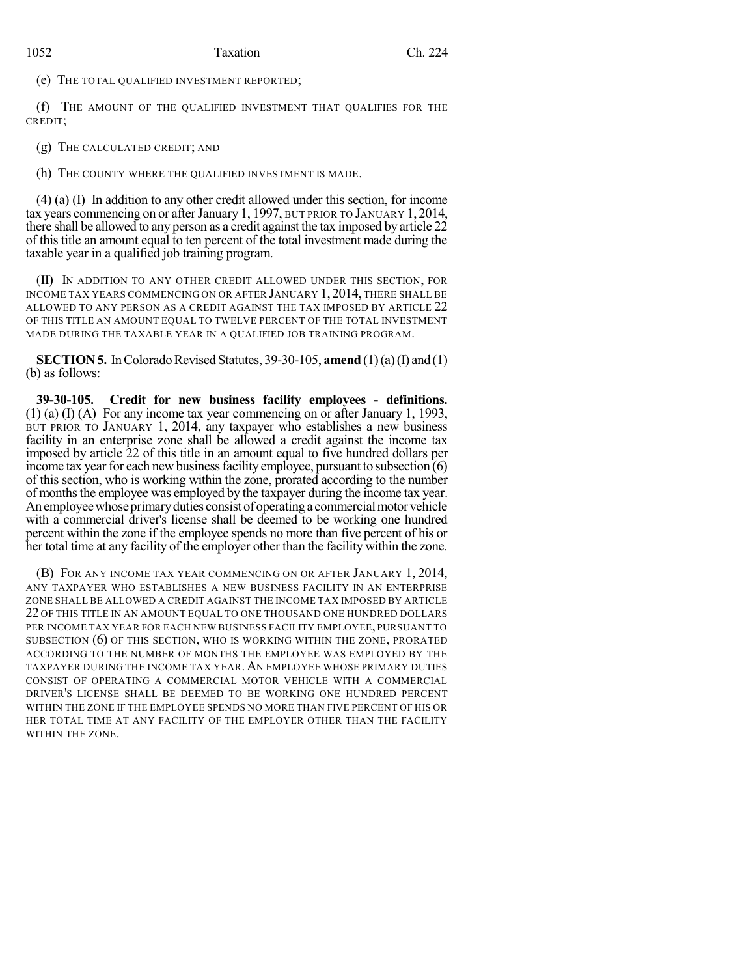### 1052 Taxation Ch. 224

(e) THE TOTAL QUALIFIED INVESTMENT REPORTED;

(f) THE AMOUNT OF THE QUALIFIED INVESTMENT THAT QUALIFIES FOR THE CREDIT;

(g) THE CALCULATED CREDIT; AND

(h) THE COUNTY WHERE THE QUALIFIED INVESTMENT IS MADE.

(4) (a) (I) In addition to any other credit allowed under this section, for income tax years commencing on or afterJanuary 1, 1997, BUT PRIOR TO JANUARY 1, 2014, there shall be allowed to any person as a credit against the tax imposed by article 22 of this title an amount equal to ten percent of the total investment made during the taxable year in a qualified job training program.

(II) IN ADDITION TO ANY OTHER CREDIT ALLOWED UNDER THIS SECTION, FOR INCOME TAX YEARS COMMENCING ON OR AFTER JANUARY 1, 2014, THERE SHALL BE ALLOWED TO ANY PERSON AS A CREDIT AGAINST THE TAX IMPOSED BY ARTICLE 22 OF THIS TITLE AN AMOUNT EQUAL TO TWELVE PERCENT OF THE TOTAL INVESTMENT MADE DURING THE TAXABLE YEAR IN A QUALIFIED JOB TRAINING PROGRAM.

**SECTION 5.** In Colorado Revised Statutes, 39-30-105, **amend** (1)(a)(I) and (1) (b) as follows:

**39-30-105. Credit for new business facility employees - definitions.**  $(1)$  (a)  $(1)$  (A) For any income tax year commencing on or after January 1, 1993, BUT PRIOR TO JANUARY 1, 2014, any taxpayer who establishes a new business facility in an enterprise zone shall be allowed a credit against the income tax imposed by article 22 of this title in an amount equal to five hundred dollars per income tax year for each new business facility employee, pursuant to subsection  $\vec{r}(6)$ of this section, who is working within the zone, prorated according to the number of monthsthe employee was employed by the taxpayer during the income tax year. An employee whose primary duties consist of operating a commercial motor vehicle with a commercial driver's license shall be deemed to be working one hundred percent within the zone if the employee spends no more than five percent of his or her total time at any facility of the employer other than the facility within the zone.

(B) FOR ANY INCOME TAX YEAR COMMENCING ON OR AFTER JANUARY 1, 2014, ANY TAXPAYER WHO ESTABLISHES A NEW BUSINESS FACILITY IN AN ENTERPRISE ZONE SHALL BE ALLOWED A CREDIT AGAINST THE INCOME TAX IMPOSED BY ARTICLE 22 OF THIS TITLE IN AN AMOUNT EQUAL TO ONE THOUSAND ONE HUNDRED DOLLARS PER INCOME TAX YEAR FOR EACH NEW BUSINESS FACILITY EMPLOYEE, PURSUANT TO SUBSECTION (6) OF THIS SECTION, WHO IS WORKING WITHIN THE ZONE, PRORATED ACCORDING TO THE NUMBER OF MONTHS THE EMPLOYEE WAS EMPLOYED BY THE TAXPAYER DURING THE INCOME TAX YEAR. AN EMPLOYEE WHOSE PRIMARY DUTIES CONSIST OF OPERATING A COMMERCIAL MOTOR VEHICLE WITH A COMMERCIAL DRIVER'S LICENSE SHALL BE DEEMED TO BE WORKING ONE HUNDRED PERCENT WITHIN THE ZONE IF THE EMPLOYEE SPENDS NO MORE THAN FIVE PERCENT OF HIS OR HER TOTAL TIME AT ANY FACILITY OF THE EMPLOYER OTHER THAN THE FACILITY WITHIN THE ZONE.